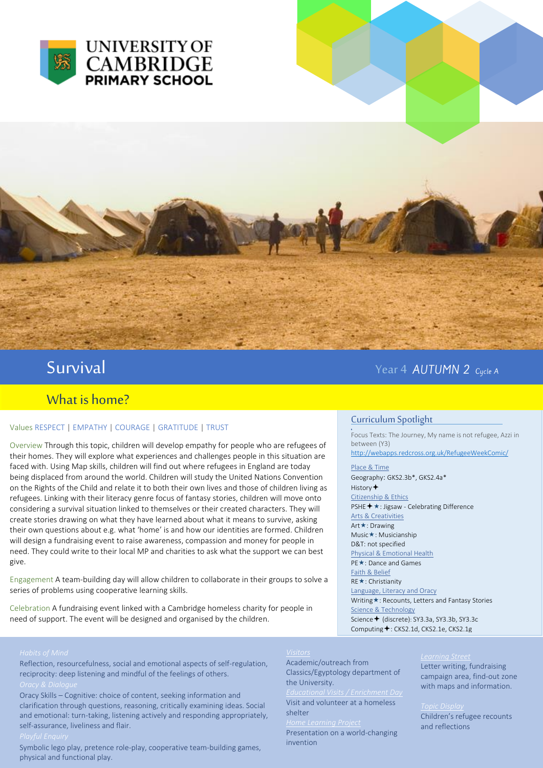



# Survival and the set of the set of the set of the set of the set of the Year 4 AUTUMN 2 Cycle A

# What is home?

### Values RESPECT | EMPATHY | COURAGE | GRATITUDE | TRUST

Overview Through this topic, children will develop empathy for people who are refugees of their homes. They will explore what experiences and challenges people in this situation are faced with. Using Map skills, children will find out where refugees in England are today being displaced from around the world. Children will study the United Nations Convention on the Rights of the Child and relate it to both their own lives and those of children living as refugees. Linking with their literacy genre focus of fantasy stories, children will move onto considering a survival situation linked to themselves or their created characters. They will create stories drawing on what they have learned about what it means to survive, asking their own questions about e.g. what 'home' is and how our identities are formed. Children will design a fundraising event to raise awareness, compassion and money for people in need. They could write to their local MP and charities to ask what the support we can best give.

Engagement A team-building day will allow children to collaborate in their groups to solve a series of problems using cooperative learning skills.

Celebration A fundraising event linked with a Cambridge homeless charity for people in need of support. The event will be designed and organised by the children.

## Curriculum Spotlight

**.**<br>Focus Texts: The Journey, My name is not refugee, Azzi in between (Y3) <http://webapps.redcross.org.uk/RefugeeWeekComic/>

Place & Time Geography: GKS2.3b\*, GKS2.4a\* History  $\bigstar$ Citizenship & Ethics PSHE **+** ★: Jigsaw - Celebrating Difference Arts & Creativities Art **★**: Drawing Music\*: Musicianship D&T: not specified Physical & Emotional Health PE **★**: Dance and Games Faith & Belief RE ★: Christianity Language, Literacy and Oracy Writing \*: Recounts, Letters and Fantasy Stories Science & Technology Science + (discrete): SY3.3a, SY3.3b, SY3.3c Computing  $\bigstar$ : CKS2.1d, CKS2.1e, CKS2.1g

Reflection, resourcefulness, social and emotional aspects of self-regulation, reciprocity: deep listening and mindful of the feelings of others.

Oracy Skills – Cognitive: choice of content, seeking information and clarification through questions, reasoning, critically examining ideas. Social and emotional: turn-taking, listening actively and responding appropriately, self-assurance, liveliness and flair.

Symbolic lego play, pretence role-play, cooperative team-building games, physical and functional play.

Academic/outreach from Classics/Egyptology department of the University.

Visit and volunteer at a homeless shelter

Presentation on a world-changing invention

### *Learning Street*

Letter writing, fundraising campaign area, find-out zone with maps and information.

### *Topic Display*

Children's refugee recounts and reflections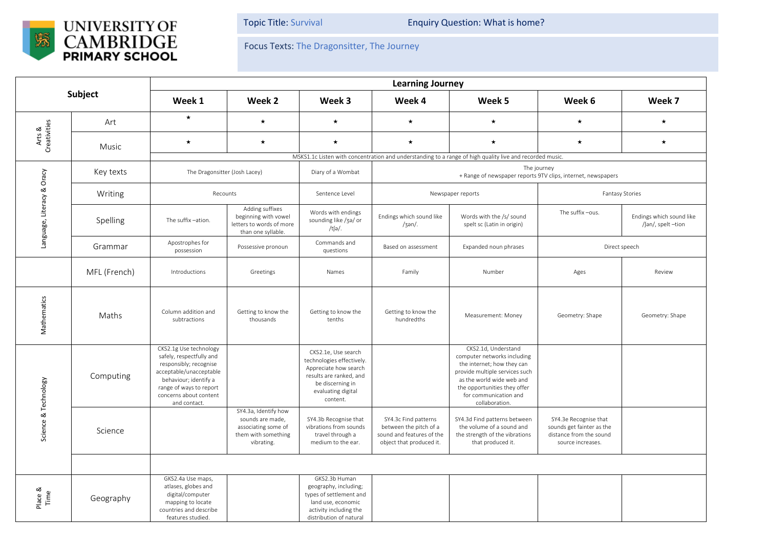

Topic Title: Survival **Enquiry Question: What is home?** 

Focus Texts: The Dragonsitter, The Journey

| Subject                    |              | <b>Learning Journey</b>                                                                                                                                                                               |                                                                                                      |                                                                                                                                                            |                                                                                                         |                                                                                                                                                                                                                            |                                                                                                    |                                                |  |  |
|----------------------------|--------------|-------------------------------------------------------------------------------------------------------------------------------------------------------------------------------------------------------|------------------------------------------------------------------------------------------------------|------------------------------------------------------------------------------------------------------------------------------------------------------------|---------------------------------------------------------------------------------------------------------|----------------------------------------------------------------------------------------------------------------------------------------------------------------------------------------------------------------------------|----------------------------------------------------------------------------------------------------|------------------------------------------------|--|--|
|                            |              | Week 1                                                                                                                                                                                                | Week 2                                                                                               | Week 3                                                                                                                                                     | Week 4                                                                                                  | Week 5                                                                                                                                                                                                                     | Week 6                                                                                             | Week 7                                         |  |  |
| Arts &<br>Creativities     | Art          | $\star$                                                                                                                                                                                               | $\star$                                                                                              | $\star$                                                                                                                                                    | $\star$                                                                                                 | $\star$                                                                                                                                                                                                                    | $\star$                                                                                            | $\star$                                        |  |  |
|                            | Music        | $\star$                                                                                                                                                                                               | $\star$                                                                                              | $\star$                                                                                                                                                    | $\star$                                                                                                 | $\star$                                                                                                                                                                                                                    | $\star$                                                                                            | $\star$                                        |  |  |
|                            |              | MSKS1.1c Listen with concentration and understanding to a range of high quality live and recorded music.                                                                                              |                                                                                                      |                                                                                                                                                            |                                                                                                         |                                                                                                                                                                                                                            |                                                                                                    |                                                |  |  |
| Language, Literacy & Oracy | Key texts    | The Dragonsitter (Josh Lacey)                                                                                                                                                                         |                                                                                                      | Diary of a Wombat                                                                                                                                          | The journey<br>+ Range of newspaper reports 9TV clips, internet, newspapers                             |                                                                                                                                                                                                                            |                                                                                                    |                                                |  |  |
|                            | Writing      | Recounts                                                                                                                                                                                              |                                                                                                      | Sentence Level                                                                                                                                             | Newspaper reports                                                                                       |                                                                                                                                                                                                                            | <b>Fantasy Stories</b>                                                                             |                                                |  |  |
|                            | Spelling     | The suffix -ation.                                                                                                                                                                                    | Adding suffixes<br>beginning with vowel<br>letters to words of more<br>than one syllable.            | Words with endings<br>sounding like /3a/ or<br>/tʃə/.                                                                                                      | Endings which sound like<br>$/3an/$ .                                                                   | Words with the /s/ sound<br>spelt sc (Latin in origin)                                                                                                                                                                     | The suffix-ous.                                                                                    | Endings which sound like<br>/ʃən/, spelt -tion |  |  |
|                            | Grammar      | Apostrophes for<br>possession                                                                                                                                                                         | Possessive pronoun                                                                                   | Commands and<br>questions                                                                                                                                  | Based on assessment                                                                                     | Expanded noun phrases                                                                                                                                                                                                      | Direct speech                                                                                      |                                                |  |  |
|                            | MFL (French) | Introductions                                                                                                                                                                                         | Greetings                                                                                            | Names                                                                                                                                                      | Family                                                                                                  | Number                                                                                                                                                                                                                     | Ages                                                                                               | Review                                         |  |  |
| Mathematics                | Maths        | Column addition and<br>subtractions                                                                                                                                                                   | Getting to know the<br>thousands                                                                     | Getting to know the<br>tenths                                                                                                                              | Getting to know the<br>hundredths                                                                       | Measurement: Money                                                                                                                                                                                                         | Geometry: Shape                                                                                    | Geometry: Shape                                |  |  |
| Science & Technology       | Computing    | CKS2.1g Use technology<br>safely, respectfully and<br>responsibly; recognise<br>acceptable/unacceptable<br>behaviour; identify a<br>range of ways to report<br>concerns about content<br>and contact. |                                                                                                      | CKS2.1e, Use search<br>technologies effectively.<br>Appreciate how search<br>results are ranked, and<br>be discerning in<br>evaluating digital<br>content. |                                                                                                         | CKS2.1d, Understand<br>computer networks including<br>the internet; how they can<br>provide multiple services such<br>as the world wide web and<br>the opportunities they offer<br>for communication and<br>collaboration. |                                                                                                    |                                                |  |  |
|                            | Science      |                                                                                                                                                                                                       | SY4.3a, Identify how<br>sounds are made,<br>associating some of<br>them with something<br>vibrating. | SY4.3b Recognise that<br>vibrations from sounds<br>travel through a<br>medium to the ear.                                                                  | SY4.3c Find patterns<br>between the pitch of a<br>sound and features of the<br>object that produced it. | SY4.3d Find patterns between<br>the volume of a sound and<br>the strength of the vibrations<br>that produced it.                                                                                                           | SY4.3e Recognise that<br>sounds get fainter as the<br>distance from the sound<br>source increases. |                                                |  |  |
|                            |              |                                                                                                                                                                                                       |                                                                                                      |                                                                                                                                                            |                                                                                                         |                                                                                                                                                                                                                            |                                                                                                    |                                                |  |  |
| Place &<br>Time            | Geography    | GKS2.4a Use maps,<br>atlases, globes and<br>digital/computer<br>mapping to locate<br>countries and describe<br>features studied                                                                       |                                                                                                      | GKS2.3b Human<br>geography, including;<br>types of settlement and<br>land use, economic<br>activity including the<br>distribution of natural               |                                                                                                         |                                                                                                                                                                                                                            |                                                                                                    |                                                |  |  |